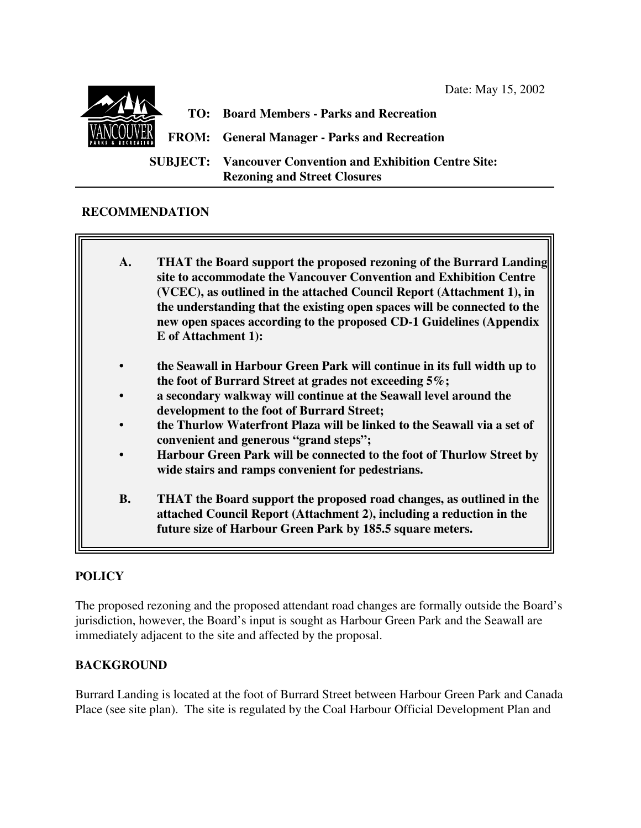

**TO: Board Members - Parks and Recreation FROM: General Manager - Parks and Recreation SUBJECT: Vancouver Convention and Exhibition Centre Site: Rezoning and Street Closures**

## **RECOMMENDATION**

- **A. THAT the Board support the proposed rezoning of the Burrard Landing site to accommodate the Vancouver Convention and Exhibition Centre (VCEC), as outlined in the attached Council Report (Attachment 1), in the understanding that the existing open spaces will be connected to the new open spaces according to the proposed CD-1 Guidelines (Appendix E of Attachment 1):**
- **• the Seawall in Harbour Green Park will continue in its full width up to the foot of Burrard Street at grades not exceeding 5%;**
- **• a secondary walkway will continue at the Seawall level around the development to the foot of Burrard Street;**
- **• the Thurlow Waterfront Plaza will be linked to the Seawall via a set of convenient and generous "grand steps";**
- **• Harbour Green Park will be connected to the foot of Thurlow Street by wide stairs and ramps convenient for pedestrians.**
- **B. THAT the Board support the proposed road changes, as outlined in the attached Council Report (Attachment 2), including a reduction in the future size of Harbour Green Park by 185.5 square meters.**

## **POLICY**

The proposed rezoning and the proposed attendant road changes are formally outside the Board's jurisdiction, however, the Board's input is sought as Harbour Green Park and the Seawall are immediately adjacent to the site and affected by the proposal.

## **BACKGROUND**

Burrard Landing is located at the foot of Burrard Street between Harbour Green Park and Canada Place (see site plan). The site is regulated by the Coal Harbour Official Development Plan and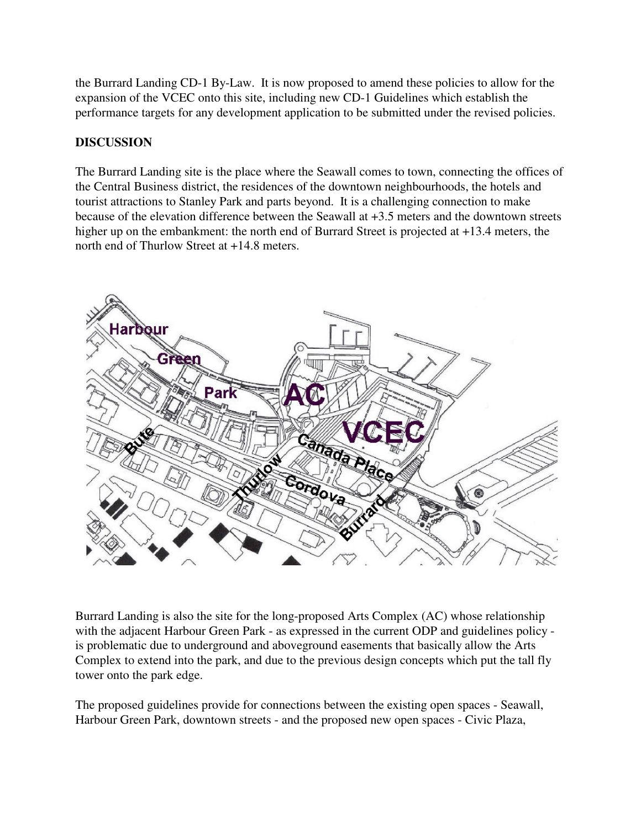the Burrard Landing CD-1 By-Law. It is now proposed to amend these policies to allow for the expansion of the VCEC onto this site, including new CD-1 Guidelines which establish the performance targets for any development application to be submitted under the revised policies.

## **DISCUSSION**

The Burrard Landing site is the place where the Seawall comes to town, connecting the offices of the Central Business district, the residences of the downtown neighbourhoods, the hotels and tourist attractions to Stanley Park and parts beyond. It is a challenging connection to make because of the elevation difference between the Seawall at +3.5 meters and the downtown streets higher up on the embankment: the north end of Burrard Street is projected at  $+13.4$  meters, the north end of Thurlow Street at +14.8 meters.



Burrard Landing is also the site for the long-proposed Arts Complex (AC) whose relationship with the adjacent Harbour Green Park - as expressed in the current ODP and guidelines policy is problematic due to underground and aboveground easements that basically allow the Arts Complex to extend into the park, and due to the previous design concepts which put the tall fly tower onto the park edge.

The proposed guidelines provide for connections between the existing open spaces - Seawall, Harbour Green Park, downtown streets - and the proposed new open spaces - Civic Plaza,